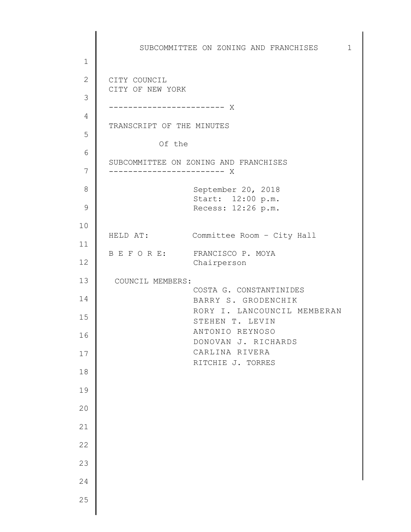1 2 3 4 5 6 7 8 9 10 11 12 13 14 15 16 17 18 19 20 21 22 23 24 25 SUBCOMMITTEE ON ZONING AND FRANCHISES 1 CITY COUNCIL CITY OF NEW YORK ------------------------ X TRANSCRIPT OF THE MINUTES Of the SUBCOMMITTEE ON ZONING AND FRANCHISES ------------------------ X September 20, 2018 Start: 12:00 p.m. Recess: 12:26 p.m. HELD AT: Committee Room – City Hall B E F O R E: FRANCISCO P. MOYA Chairperson COUNCIL MEMBERS: COSTA G. CONSTANTINIDES BARRY S. GRODENCHIK RORY I. LANCOUNCIL MEMBERAN STEHEN T. LEVIN ANTONIO REYNOSO DONOVAN J. RICHARDS CARLINA RIVERA RITCHIE J. TORRES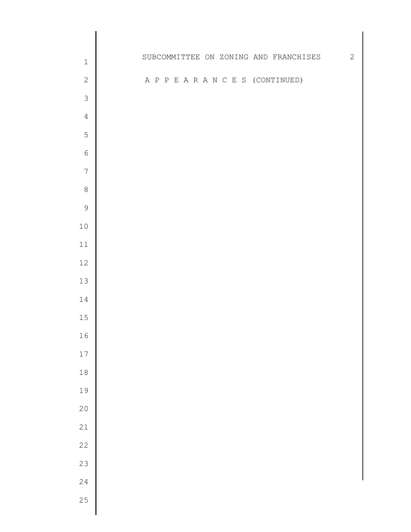| $\mathbbm{1}$    |  |  |  |  |  | SUBCOMMITTEE ON ZONING AND FRANCHISES | 2 |
|------------------|--|--|--|--|--|---------------------------------------|---|
| $\sqrt{2}$       |  |  |  |  |  | A P P E A R A N C E S (CONTINUED)     |   |
| $\mathfrak{Z}$   |  |  |  |  |  |                                       |   |
| $\overline{4}$   |  |  |  |  |  |                                       |   |
| 5                |  |  |  |  |  |                                       |   |
| $\sqrt{6}$       |  |  |  |  |  |                                       |   |
| $\boldsymbol{7}$ |  |  |  |  |  |                                       |   |
| $\,8\,$          |  |  |  |  |  |                                       |   |
| $\mathcal{G}$    |  |  |  |  |  |                                       |   |
| $10$             |  |  |  |  |  |                                       |   |
| $11\,$           |  |  |  |  |  |                                       |   |
| $12\,$           |  |  |  |  |  |                                       |   |
| $13$             |  |  |  |  |  |                                       |   |
| $14\,$           |  |  |  |  |  |                                       |   |
| $15\,$           |  |  |  |  |  |                                       |   |
| 16               |  |  |  |  |  |                                       |   |
| $17\,$           |  |  |  |  |  |                                       |   |
| $1\,8$           |  |  |  |  |  |                                       |   |
| 19               |  |  |  |  |  |                                       |   |
| $20$             |  |  |  |  |  |                                       |   |
| 21               |  |  |  |  |  |                                       |   |
| $2\sqrt{2}$      |  |  |  |  |  |                                       |   |
| 23               |  |  |  |  |  |                                       |   |
| 24               |  |  |  |  |  |                                       |   |
| 25               |  |  |  |  |  |                                       |   |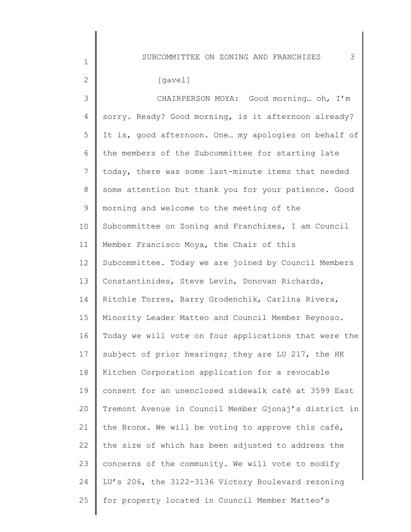#### [gavel]

1

2

3 4 5 6 7 8 9 10 11 12 13 14 15 16 17 18 19 20 21 22 23 24 25 CHAIRPERSON MOYA: Good morning… oh, I'm sorry. Ready? Good morning, is it afternoon already? It is, good afternoon. One… my apologies on behalf of the members of the Subcommittee for starting late today, there was some last-minute items that needed some attention but thank you for your patience. Good morning and welcome to the meeting of the Subcommittee on Zoning and Franchises, I am Council Member Francisco Moya, the Chair of this Subcommittee. Today we are joined by Council Members Constantinides, Steve Levin, Donovan Richards, Ritchie Torres, Barry Grodenchik, Carlina Rivera, Minority Leader Matteo and Council Member Reynoso. Today we will vote on four applications that were the subject of prior hearings; they are LU 217, the HK Kitchen Corporation application for a revocable consent for an unenclosed sidewalk café at 3599 East Tremont Avenue in Council Member Gjonaj's district in the Bronx. We will be voting to approve this café, the size of which has been adjusted to address the concerns of the community. We will vote to modify LU's 206, the 3122-3136 Victory Boulevard rezoning for property located in Council Member Matteo's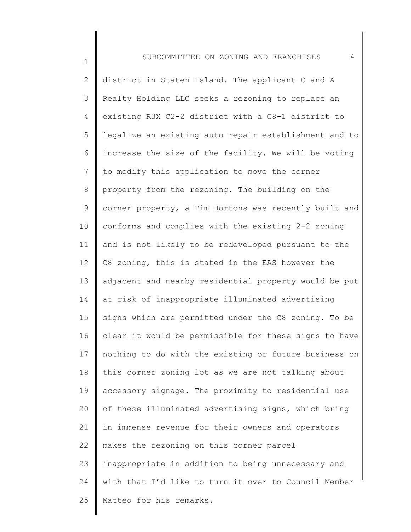1 2 3 4 5 6 7 8 9 10 11 12 13 14 15 16 17 18 19 20 21 22 23 24 25 SUBCOMMITTEE ON ZONING AND FRANCHISES 4 district in Staten Island. The applicant C and A Realty Holding LLC seeks a rezoning to replace an existing R3X C2-2 district with a C8-1 district to legalize an existing auto repair establishment and to increase the size of the facility. We will be voting to modify this application to move the corner property from the rezoning. The building on the corner property, a Tim Hortons was recently built and conforms and complies with the existing 2-2 zoning and is not likely to be redeveloped pursuant to the C8 zoning, this is stated in the EAS however the adjacent and nearby residential property would be put at risk of inappropriate illuminated advertising signs which are permitted under the C8 zoning. To be clear it would be permissible for these signs to have nothing to do with the existing or future business on this corner zoning lot as we are not talking about accessory signage. The proximity to residential use of these illuminated advertising signs, which bring in immense revenue for their owners and operators makes the rezoning on this corner parcel inappropriate in addition to being unnecessary and with that I'd like to turn it over to Council Member Matteo for his remarks.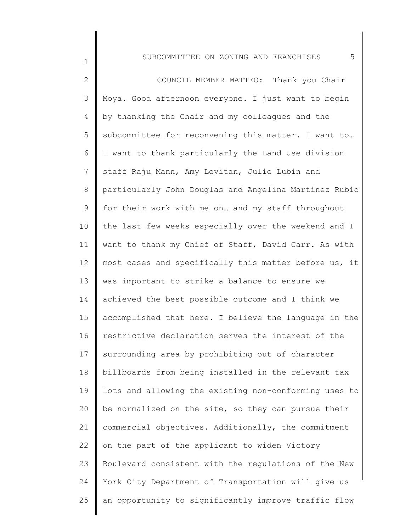1

2 3 4 5 6 7 8 9 10 11 12 13 14 15 16 17 18 19 20 21 22 23 24 25 COUNCIL MEMBER MATTEO: Thank you Chair Moya. Good afternoon everyone. I just want to begin by thanking the Chair and my colleagues and the subcommittee for reconvening this matter. I want to… I want to thank particularly the Land Use division staff Raju Mann, Amy Levitan, Julie Lubin and particularly John Douglas and Angelina Martinez Rubio for their work with me on… and my staff throughout the last few weeks especially over the weekend and I want to thank my Chief of Staff, David Carr. As with most cases and specifically this matter before us, it was important to strike a balance to ensure we achieved the best possible outcome and I think we accomplished that here. I believe the language in the restrictive declaration serves the interest of the surrounding area by prohibiting out of character billboards from being installed in the relevant tax lots and allowing the existing non-conforming uses to be normalized on the site, so they can pursue their commercial objectives. Additionally, the commitment on the part of the applicant to widen Victory Boulevard consistent with the regulations of the New York City Department of Transportation will give us an opportunity to significantly improve traffic flow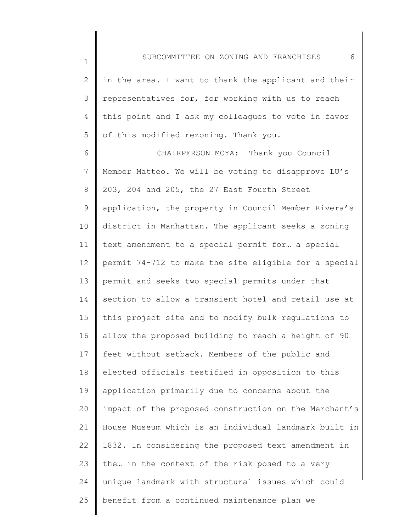1

2 3 4 5 in the area. I want to thank the applicant and their representatives for, for working with us to reach this point and I ask my colleagues to vote in favor of this modified rezoning. Thank you.

6 7 8 9 10 11 12 13 14 15 16 17 18 19 20 21 22 23 24 25 CHAIRPERSON MOYA: Thank you Council Member Matteo. We will be voting to disapprove LU's 203, 204 and 205, the 27 East Fourth Street application, the property in Council Member Rivera's district in Manhattan. The applicant seeks a zoning text amendment to a special permit for… a special permit 74-712 to make the site eligible for a special permit and seeks two special permits under that section to allow a transient hotel and retail use at this project site and to modify bulk regulations to allow the proposed building to reach a height of 90 feet without setback. Members of the public and elected officials testified in opposition to this application primarily due to concerns about the impact of the proposed construction on the Merchant's House Museum which is an individual landmark built in 1832. In considering the proposed text amendment in the… in the context of the risk posed to a very unique landmark with structural issues which could benefit from a continued maintenance plan we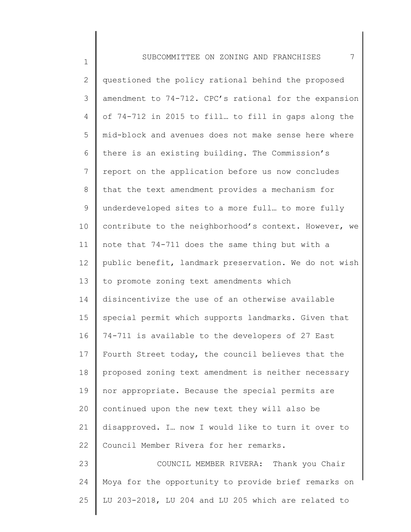1

| $\mathbf{2}^{\prime}$ | questioned the policy rational behind the proposed    |
|-----------------------|-------------------------------------------------------|
| 3                     | amendment to 74-712. CPC's rational for the expansion |
| $\overline{4}$        | of 74-712 in 2015 to fill to fill in gaps along the   |
| 5                     | mid-block and avenues does not make sense here where  |
| 6                     | there is an existing building. The Commission's       |
| 7                     | report on the application before us now concludes     |
| $8\,$                 | that the text amendment provides a mechanism for      |
| 9                     | underdeveloped sites to a more full to more fully     |
| 10                    | contribute to the neighborhood's context. However, we |
| 11                    | note that 74-711 does the same thing but with a       |
| 12                    | public benefit, landmark preservation. We do not wish |
| 13                    | to promote zoning text amendments which               |
| 14                    | disincentivize the use of an otherwise available      |
| 15                    | special permit which supports landmarks. Given that   |
| 16                    | 74-711 is available to the developers of 27 East      |
| 17                    | Fourth Street today, the council believes that the    |
| 18                    | proposed zoning text amendment is neither necessary   |
| 19                    | nor appropriate. Because the special permits are      |
| 20                    | continued upon the new text they will also be         |
| 21                    | disapproved. I. now I would like to turn it over to   |
| 22                    | Council Member Rivera for her remarks.                |
| 23                    | COUNCIL MEMBER RIVERA: Thank you Chair                |
| 24                    | Moya for the opportunity to provide brief remarks on  |
| 25                    | LU 203-2018, LU 204 and LU 205 which are related to   |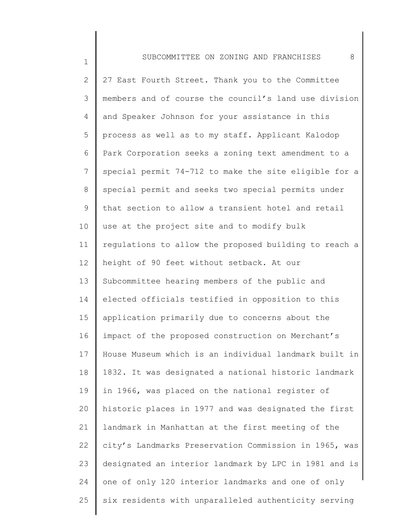1 2 3 4 5 6 7 8 9 10 11 12 13 14 15 16 17 18 19 20 21 22 23 24 25 SUBCOMMITTEE ON ZONING AND FRANCHISES 8 27 East Fourth Street. Thank you to the Committee members and of course the council's land use division and Speaker Johnson for your assistance in this process as well as to my staff. Applicant Kalodop Park Corporation seeks a zoning text amendment to a special permit 74-712 to make the site eligible for a special permit and seeks two special permits under that section to allow a transient hotel and retail use at the project site and to modify bulk regulations to allow the proposed building to reach a height of 90 feet without setback. At our Subcommittee hearing members of the public and elected officials testified in opposition to this application primarily due to concerns about the impact of the proposed construction on Merchant's House Museum which is an individual landmark built in 1832. It was designated a national historic landmark in 1966, was placed on the national register of historic places in 1977 and was designated the first landmark in Manhattan at the first meeting of the city's Landmarks Preservation Commission in 1965, was designated an interior landmark by LPC in 1981 and is one of only 120 interior landmarks and one of only six residents with unparalleled authenticity serving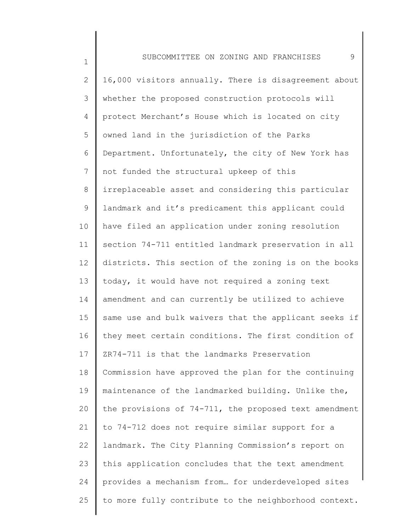1 2 3 4 5 6 7 8 9 10 11 12 13 14 15 16 17 18 19 20 21 22 23 24 25 SUBCOMMITTEE ON ZONING AND FRANCHISES 9 16,000 visitors annually. There is disagreement about whether the proposed construction protocols will protect Merchant's House which is located on city owned land in the jurisdiction of the Parks Department. Unfortunately, the city of New York has not funded the structural upkeep of this irreplaceable asset and considering this particular landmark and it's predicament this applicant could have filed an application under zoning resolution section 74-711 entitled landmark preservation in all districts. This section of the zoning is on the books today, it would have not required a zoning text amendment and can currently be utilized to achieve same use and bulk waivers that the applicant seeks if they meet certain conditions. The first condition of ZR74-711 is that the landmarks Preservation Commission have approved the plan for the continuing maintenance of the landmarked building. Unlike the, the provisions of 74-711, the proposed text amendment to 74-712 does not require similar support for a landmark. The City Planning Commission's report on this application concludes that the text amendment provides a mechanism from… for underdeveloped sites to more fully contribute to the neighborhood context.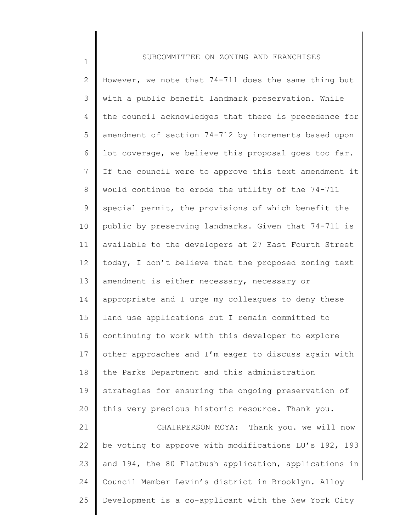1

2 3 4 5 6 7 8 9 10 11 12 13 14 15 16 17 18 19 20 21 22 23 24 25 10 However, we note that 74-711 does the same thing but with a public benefit landmark preservation. While the council acknowledges that there is precedence for amendment of section 74-712 by increments based upon lot coverage, we believe this proposal goes too far. If the council were to approve this text amendment it would continue to erode the utility of the 74-711 special permit, the provisions of which benefit the public by preserving landmarks. Given that 74-711 is available to the developers at 27 East Fourth Street today, I don't believe that the proposed zoning text amendment is either necessary, necessary or appropriate and I urge my colleagues to deny these land use applications but I remain committed to continuing to work with this developer to explore other approaches and I'm eager to discuss again with the Parks Department and this administration strategies for ensuring the ongoing preservation of this very precious historic resource. Thank you. CHAIRPERSON MOYA: Thank you. we will now be voting to approve with modifications LU's 192, 193 and 194, the 80 Flatbush application, applications in Council Member Levin's district in Brooklyn. Alloy Development is a co-applicant with the New York City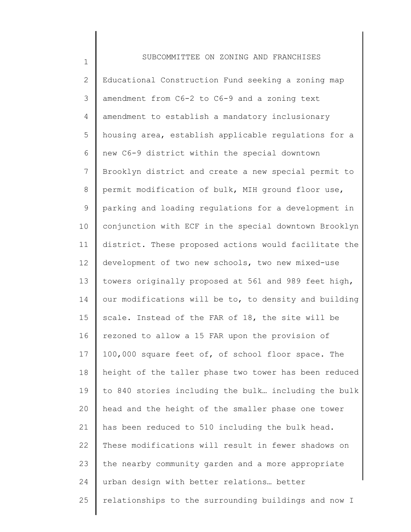1 2 3 4 5 6 7 8 9 10 11 12 13 14 15 16 17 18 19 20 21 22 23 24 25 SUBCOMMITTEE ON ZONING AND FRANCHISES Educational Construction Fund seeking a zoning map amendment from C6-2 to C6-9 and a zoning text amendment to establish a mandatory inclusionary housing area, establish applicable regulations for a new C6-9 district within the special downtown Brooklyn district and create a new special permit to permit modification of bulk, MIH ground floor use, parking and loading regulations for a development in conjunction with ECF in the special downtown Brooklyn district. These proposed actions would facilitate the development of two new schools, two new mixed-use towers originally proposed at 561 and 989 feet high, our modifications will be to, to density and building scale. Instead of the FAR of 18, the site will be rezoned to allow a 15 FAR upon the provision of 100,000 square feet of, of school floor space. The height of the taller phase two tower has been reduced to 840 stories including the bulk… including the bulk head and the height of the smaller phase one tower has been reduced to 510 including the bulk head. These modifications will result in fewer shadows on the nearby community garden and a more appropriate urban design with better relations… better relationships to the surrounding buildings and now I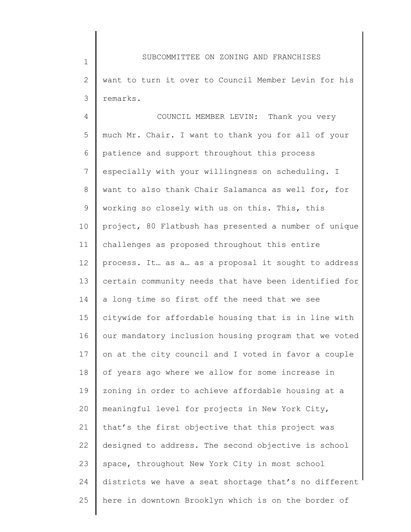1 2 3 SUBCOMMITTEE ON ZONING AND FRANCHISES want to turn it over to Council Member Levin for his remarks.

4 5 6 7 8 9 10 11 12 13 14 15 16 17 18 19 20 21 22 23 24 25 COUNCIL MEMBER LEVIN: Thank you very much Mr. Chair. I want to thank you for all of your patience and support throughout this process especially with your willingness on scheduling. I want to also thank Chair Salamanca as well for, for working so closely with us on this. This, this project, 80 Flatbush has presented a number of unique challenges as proposed throughout this entire process. It… as a… as a proposal it sought to address certain community needs that have been identified for a long time so first off the need that we see citywide for affordable housing that is in line with our mandatory inclusion housing program that we voted on at the city council and I voted in favor a couple of years ago where we allow for some increase in zoning in order to achieve affordable housing at a meaningful level for projects in New York City, that's the first objective that this project was designed to address. The second objective is school space, throughout New York City in most school districts we have a seat shortage that's no different here in downtown Brooklyn which is on the border of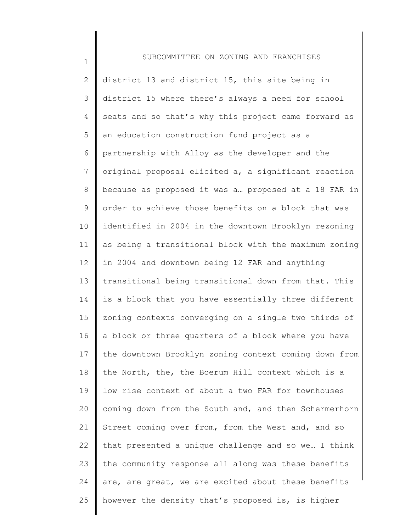1

2 3 4 5 6 7 8 9 10 11 12 13 14 15 16 17 18 19 20 21 22 23 24 25 district 13 and district 15, this site being in district 15 where there's always a need for school seats and so that's why this project came forward as an education construction fund project as a partnership with Alloy as the developer and the original proposal elicited a, a significant reaction because as proposed it was a… proposed at a 18 FAR in order to achieve those benefits on a block that was identified in 2004 in the downtown Brooklyn rezoning as being a transitional block with the maximum zoning in 2004 and downtown being 12 FAR and anything transitional being transitional down from that. This is a block that you have essentially three different zoning contexts converging on a single two thirds of a block or three quarters of a block where you have the downtown Brooklyn zoning context coming down from the North, the, the Boerum Hill context which is a low rise context of about a two FAR for townhouses coming down from the South and, and then Schermerhorn Street coming over from, from the West and, and so that presented a unique challenge and so we… I think the community response all along was these benefits are, are great, we are excited about these benefits however the density that's proposed is, is higher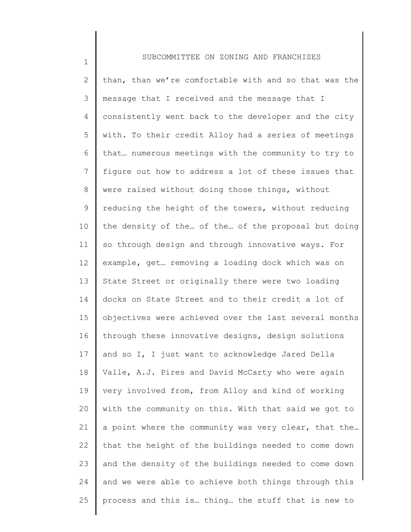1

2 3 4 5 6 7 8 9 10 11 12 13 14 15 16 17 18 19 20 21 22 23 24 25 than, than we're comfortable with and so that was the message that I received and the message that I consistently went back to the developer and the city with. To their credit Alloy had a series of meetings that… numerous meetings with the community to try to figure out how to address a lot of these issues that were raised without doing those things, without reducing the height of the towers, without reducing the density of the… of the… of the proposal but doing so through design and through innovative ways. For example, get… removing a loading dock which was on State Street or originally there were two loading docks on State Street and to their credit a lot of objectives were achieved over the last several months through these innovative designs, design solutions and so I, I just want to acknowledge Jared Della Valle, A.J. Pires and David McCarty who were again very involved from, from Alloy and kind of working with the community on this. With that said we got to a point where the community was very clear, that the… that the height of the buildings needed to come down and the density of the buildings needed to come down and we were able to achieve both things through this process and this is… thing… the stuff that is new to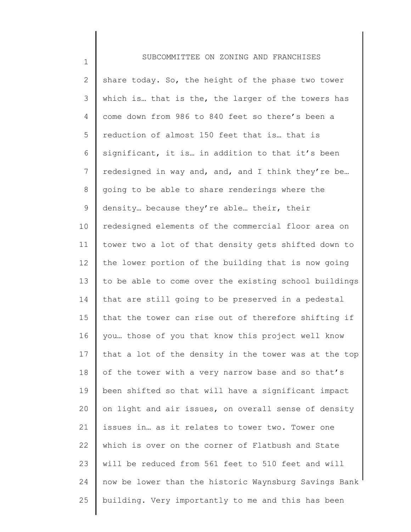1

2 3 4 5 6 7 8 9 10 11 12 13 14 15 16 17 18 19 20 21 22 23 24 25 share today. So, the height of the phase two tower which is... that is the, the larger of the towers has come down from 986 to 840 feet so there's been a reduction of almost 150 feet that is… that is significant, it is… in addition to that it's been redesigned in way and, and, and I think they're be… going to be able to share renderings where the density… because they're able… their, their redesigned elements of the commercial floor area on tower two a lot of that density gets shifted down to the lower portion of the building that is now going to be able to come over the existing school buildings that are still going to be preserved in a pedestal that the tower can rise out of therefore shifting if you… those of you that know this project well know that a lot of the density in the tower was at the top of the tower with a very narrow base and so that's been shifted so that will have a significant impact on light and air issues, on overall sense of density issues in… as it relates to tower two. Tower one which is over on the corner of Flatbush and State will be reduced from 561 feet to 510 feet and will now be lower than the historic Waynsburg Savings Bank building. Very importantly to me and this has been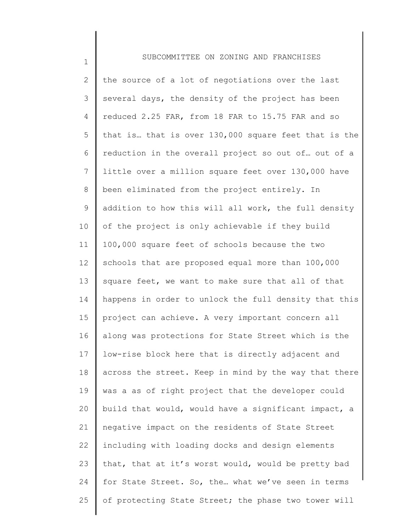1

2 3 4 5 6 7 8 9 10 11 12 13 14 15 16 17 18 19 20 21 22 23 24 25 the source of a lot of negotiations over the last several days, the density of the project has been reduced 2.25 FAR, from 18 FAR to 15.75 FAR and so that is… that is over 130,000 square feet that is the reduction in the overall project so out of… out of a little over a million square feet over 130,000 have been eliminated from the project entirely. In addition to how this will all work, the full density of the project is only achievable if they build 100,000 square feet of schools because the two schools that are proposed equal more than 100,000 square feet, we want to make sure that all of that happens in order to unlock the full density that this project can achieve. A very important concern all along was protections for State Street which is the low-rise block here that is directly adjacent and across the street. Keep in mind by the way that there was a as of right project that the developer could build that would, would have a significant impact, a negative impact on the residents of State Street including with loading docks and design elements that, that at it's worst would, would be pretty bad for State Street. So, the… what we've seen in terms of protecting State Street; the phase two tower will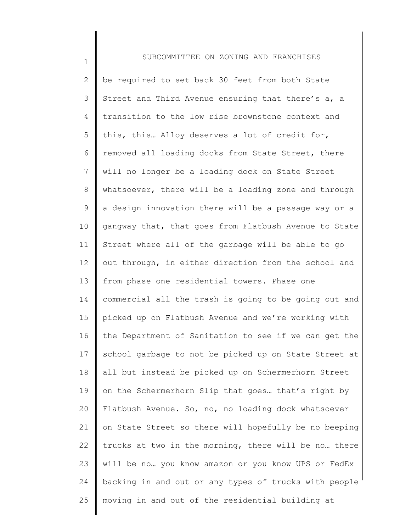## 1 2 3 4 5 6 7 8 9 10 11 12 13 14 15 16 17 18 19 20 21 22 23 24 25 SUBCOMMITTEE ON ZONING AND FRANCHISES be required to set back 30 feet from both State Street and Third Avenue ensuring that there's a, a transition to the low rise brownstone context and this, this… Alloy deserves a lot of credit for, removed all loading docks from State Street, there will no longer be a loading dock on State Street whatsoever, there will be a loading zone and through a design innovation there will be a passage way or a gangway that, that goes from Flatbush Avenue to State Street where all of the garbage will be able to go out through, in either direction from the school and from phase one residential towers. Phase one commercial all the trash is going to be going out and picked up on Flatbush Avenue and we're working with the Department of Sanitation to see if we can get the school garbage to not be picked up on State Street at all but instead be picked up on Schermerhorn Street on the Schermerhorn Slip that goes… that's right by Flatbush Avenue. So, no, no loading dock whatsoever on State Street so there will hopefully be no beeping trucks at two in the morning, there will be no… there will be no… you know amazon or you know UPS or FedEx backing in and out or any types of trucks with people moving in and out of the residential building at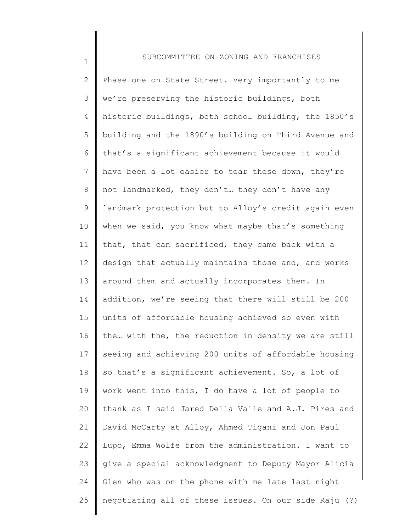1 2 3 4 5 6 7 8 9 10 11 12 13 14 15 16 17 18 19 20 21 22 23 24 25 SUBCOMMITTEE ON ZONING AND FRANCHISES Phase one on State Street. Very importantly to me we're preserving the historic buildings, both historic buildings, both school building, the 1850's building and the 1890's building on Third Avenue and that's a significant achievement because it would have been a lot easier to tear these down, they're not landmarked, they don't… they don't have any landmark protection but to Alloy's credit again even when we said, you know what maybe that's something that, that can sacrificed, they came back with a design that actually maintains those and, and works around them and actually incorporates them. In addition, we're seeing that there will still be 200 units of affordable housing achieved so even with the… with the, the reduction in density we are still seeing and achieving 200 units of affordable housing so that's a significant achievement. So, a lot of work went into this, I do have a lot of people to thank as I said Jared Della Valle and A.J. Pires and David McCarty at Alloy, Ahmed Tigani and Jon Paul Lupo, Emma Wolfe from the administration. I want to give a special acknowledgment to Deputy Mayor Alicia Glen who was on the phone with me late last night negotiating all of these issues. On our side Raju (?)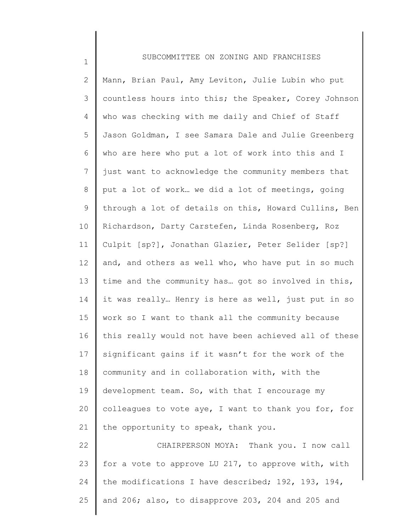1

2 3 4 5 6 7 8 9 10 11 12 13 14 15 16 17 18 19 20 21 22 23 24 25 Mann, Brian Paul, Amy Leviton, Julie Lubin who put countless hours into this; the Speaker, Corey Johnson who was checking with me daily and Chief of Staff Jason Goldman, I see Samara Dale and Julie Greenberg who are here who put a lot of work into this and I just want to acknowledge the community members that put a lot of work… we did a lot of meetings, going through a lot of details on this, Howard Cullins, Ben Richardson, Darty Carstefen, Linda Rosenberg, Roz Culpit [sp?], Jonathan Glazier, Peter Selider [sp?] and, and others as well who, who have put in so much time and the community has… got so involved in this, it was really… Henry is here as well, just put in so work so I want to thank all the community because this really would not have been achieved all of these significant gains if it wasn't for the work of the community and in collaboration with, with the development team. So, with that I encourage my colleagues to vote aye, I want to thank you for, for the opportunity to speak, thank you. CHAIRPERSON MOYA: Thank you. I now call for a vote to approve LU 217, to approve with, with the modifications I have described; 192, 193, 194, and 206; also, to disapprove 203, 204 and 205 and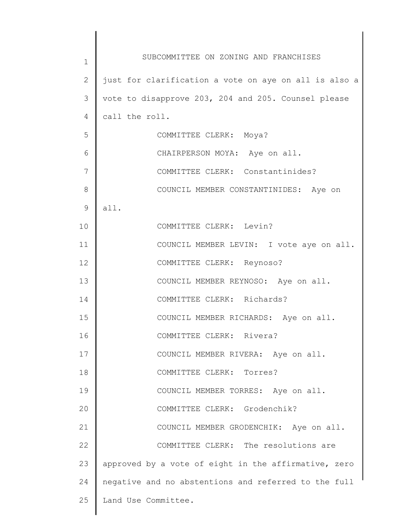| $\mathbf 1$    | SUBCOMMITTEE ON ZONING AND FRANCHISES                 |
|----------------|-------------------------------------------------------|
| $\overline{2}$ | just for clarification a vote on aye on all is also a |
| 3              | vote to disapprove 203, 204 and 205. Counsel please   |
| $\overline{4}$ | call the roll.                                        |
| 5              | COMMITTEE CLERK: Moya?                                |
| 6              | CHAIRPERSON MOYA: Aye on all.                         |
| 7              | COMMITTEE CLERK: Constantinides?                      |
| 8              | COUNCIL MEMBER CONSTANTINIDES: Aye on                 |
| 9              | all.                                                  |
| 10             | COMMITTEE CLERK: Levin?                               |
| 11             | COUNCIL MEMBER LEVIN: I vote aye on all.              |
| 12             | COMMITTEE CLERK: Reynoso?                             |
| 13             | COUNCIL MEMBER REYNOSO: Aye on all.                   |
| 14             | COMMITTEE CLERK: Richards?                            |
| 15             | COUNCIL MEMBER RICHARDS: Aye on all.                  |
| 16             | COMMITTEE CLERK: Rivera?                              |
| 17             | COUNCIL MEMBER RIVERA: Aye on all.                    |
| 18             | COMMITTEE CLERK: Torres?                              |
| 19             | COUNCIL MEMBER TORRES: Aye on all.                    |
| 20             | COMMITTEE CLERK: Grodenchik?                          |
| 21             | COUNCIL MEMBER GRODENCHIK: Aye on all.                |
| 22             | COMMITTEE CLERK: The resolutions are                  |
| 23             | approved by a vote of eight in the affirmative, zero  |
| 24             | negative and no abstentions and referred to the full  |
| 25             | Land Use Committee.                                   |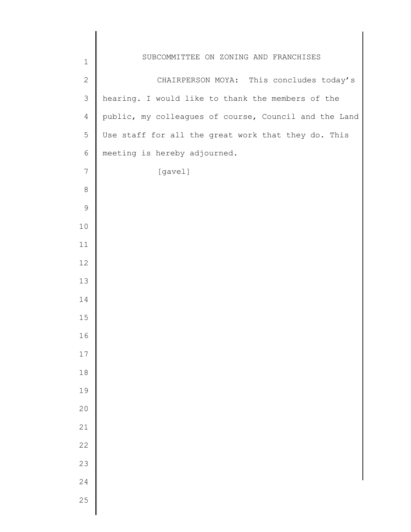| SUBCOMMITTEE ON ZONING AND FRANCHISES<br>$\mathbf 1$<br>$\sqrt{2}$<br>CHAIRPERSON MOYA: This concludes today's<br>hearing. I would like to thank the members of the<br>$\mathfrak{Z}$<br>public, my colleagues of course, Council and the Land<br>$\overline{4}$<br>Use staff for all the great work that they do. This<br>5<br>6<br>meeting is hereby adjourned.<br>[gavel]<br>$\overline{7}$<br>$\,8\,$<br>$\mathsf 9$<br>10<br>11<br>12<br>13<br>14<br>15<br>16<br>$17\,$<br>$1\,8$<br>19<br>20<br>21<br>22<br>23<br>24 |    |  |
|----------------------------------------------------------------------------------------------------------------------------------------------------------------------------------------------------------------------------------------------------------------------------------------------------------------------------------------------------------------------------------------------------------------------------------------------------------------------------------------------------------------------------|----|--|
|                                                                                                                                                                                                                                                                                                                                                                                                                                                                                                                            |    |  |
|                                                                                                                                                                                                                                                                                                                                                                                                                                                                                                                            |    |  |
|                                                                                                                                                                                                                                                                                                                                                                                                                                                                                                                            |    |  |
|                                                                                                                                                                                                                                                                                                                                                                                                                                                                                                                            |    |  |
|                                                                                                                                                                                                                                                                                                                                                                                                                                                                                                                            |    |  |
|                                                                                                                                                                                                                                                                                                                                                                                                                                                                                                                            |    |  |
|                                                                                                                                                                                                                                                                                                                                                                                                                                                                                                                            |    |  |
|                                                                                                                                                                                                                                                                                                                                                                                                                                                                                                                            |    |  |
|                                                                                                                                                                                                                                                                                                                                                                                                                                                                                                                            |    |  |
|                                                                                                                                                                                                                                                                                                                                                                                                                                                                                                                            |    |  |
|                                                                                                                                                                                                                                                                                                                                                                                                                                                                                                                            |    |  |
|                                                                                                                                                                                                                                                                                                                                                                                                                                                                                                                            |    |  |
|                                                                                                                                                                                                                                                                                                                                                                                                                                                                                                                            |    |  |
|                                                                                                                                                                                                                                                                                                                                                                                                                                                                                                                            |    |  |
|                                                                                                                                                                                                                                                                                                                                                                                                                                                                                                                            |    |  |
|                                                                                                                                                                                                                                                                                                                                                                                                                                                                                                                            |    |  |
|                                                                                                                                                                                                                                                                                                                                                                                                                                                                                                                            |    |  |
|                                                                                                                                                                                                                                                                                                                                                                                                                                                                                                                            |    |  |
|                                                                                                                                                                                                                                                                                                                                                                                                                                                                                                                            |    |  |
|                                                                                                                                                                                                                                                                                                                                                                                                                                                                                                                            |    |  |
|                                                                                                                                                                                                                                                                                                                                                                                                                                                                                                                            |    |  |
|                                                                                                                                                                                                                                                                                                                                                                                                                                                                                                                            |    |  |
|                                                                                                                                                                                                                                                                                                                                                                                                                                                                                                                            |    |  |
|                                                                                                                                                                                                                                                                                                                                                                                                                                                                                                                            |    |  |
|                                                                                                                                                                                                                                                                                                                                                                                                                                                                                                                            | 25 |  |